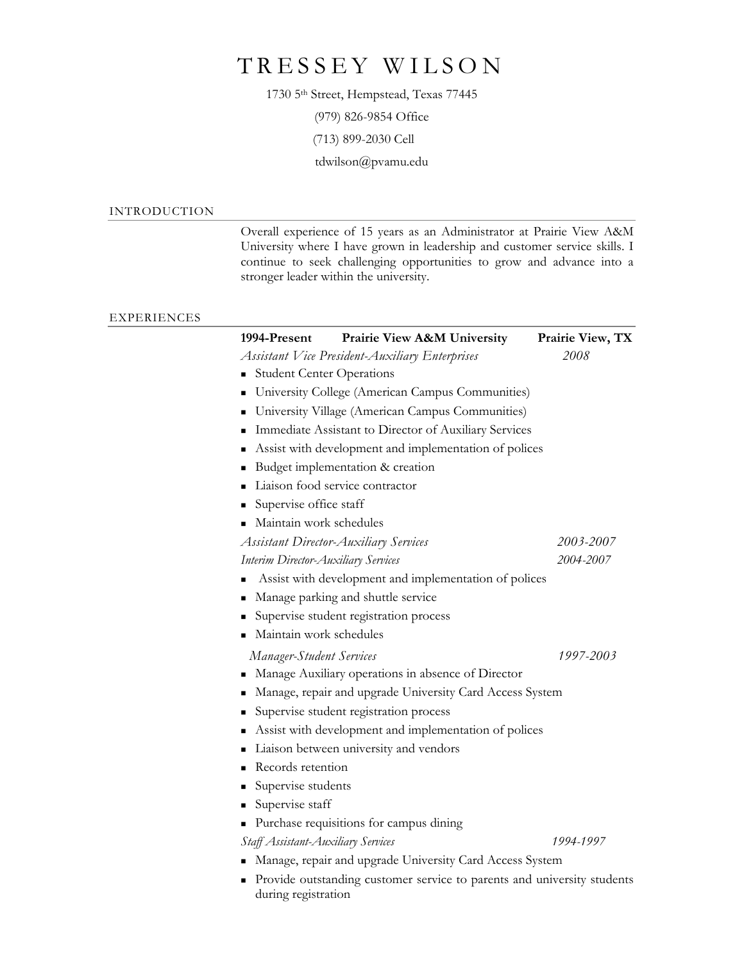## TRESSEY WILSON

1730 5th Street, Hempstead, Texas 77445

(979) 826-9854 Office

(713) 899-2030 Cell

tdwilson@pvamu.edu

## INTRODUCTION

Overall experience of 15 years as an Administrator at Prairie View A&M University where I have grown in leadership and customer service skills. I continue to seek challenging opportunities to grow and advance into a stronger leader within the university.

## EXPERIENCES

| 1994-Present                        | Prairie View A&M University                                             | Prairie View, TX |
|-------------------------------------|-------------------------------------------------------------------------|------------------|
|                                     | <b>Assistant Vice President-Auxiliary Enterprises</b>                   | 2008             |
| ٠                                   | <b>Student Center Operations</b>                                        |                  |
| п                                   | University College (American Campus Communities)                        |                  |
| ٠                                   | University Village (American Campus Communities)                        |                  |
|                                     | Immediate Assistant to Director of Auxiliary Services                   |                  |
|                                     | Assist with development and implementation of polices                   |                  |
| п                                   | Budget implementation & creation                                        |                  |
|                                     | Liaison food service contractor                                         |                  |
| Supervise office staff              |                                                                         |                  |
| Maintain work schedules             |                                                                         |                  |
|                                     | <b>Assistant Director-Auxiliary Services</b>                            | 2003-2007        |
| Interim Director-Auxiliary Services |                                                                         | 2004-2007        |
|                                     | Assist with development and implementation of polices                   |                  |
|                                     | Manage parking and shuttle service                                      |                  |
|                                     | Supervise student registration process                                  |                  |
| Maintain work schedules             |                                                                         |                  |
| <b>Manager-Student Services</b>     |                                                                         | 1997-2003        |
|                                     | Manage Auxiliary operations in absence of Director                      |                  |
| ٠                                   | Manage, repair and upgrade University Card Access System                |                  |
| ٠                                   | Supervise student registration process                                  |                  |
| ٠                                   | Assist with development and implementation of polices                   |                  |
|                                     | Liaison between university and vendors                                  |                  |
| Records retention<br>п              |                                                                         |                  |
| Supervise students<br>٠             |                                                                         |                  |
| Supervise staff<br>٠                |                                                                         |                  |
| ٠                                   | Purchase requisitions for campus dining                                 |                  |
| Staff Assistant-Auxiliary Services  |                                                                         | 1994-1997        |
|                                     | Manage, repair and upgrade University Card Access System                |                  |
|                                     | Provide outstanding customer service to parents and university students |                  |

during registration